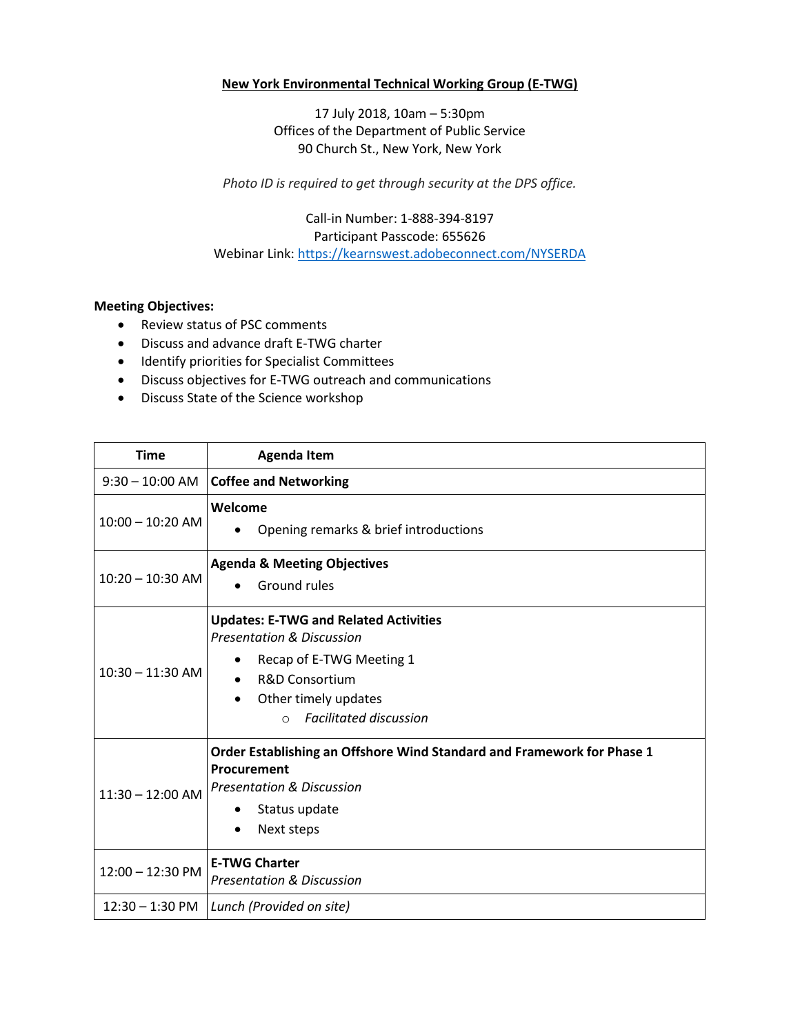## **New York Environmental Technical Working Group (E-TWG)**

17 July 2018, 10am – 5:30pm Offices of the Department of Public Service 90 Church St., New York, New York

*Photo ID is required to get through security at the DPS office.*

Call‐in Number: 1‐888‐394‐8197 Participant Passcode: 655626 Webinar Link:<https://kearnswest.adobeconnect.com/NYSERDA>

## **Meeting Objectives:**

- Review status of PSC comments
- Discuss and advance draft E-TWG charter
- $\bullet$  Identify priorities for Specialist Committees
- Discuss objectives for E-TWG outreach and communications
- Discuss State of the Science workshop

| <b>Time</b>        | <b>Agenda Item</b>                                                                                                                                                                                                              |
|--------------------|---------------------------------------------------------------------------------------------------------------------------------------------------------------------------------------------------------------------------------|
| $9:30 - 10:00$ AM  | <b>Coffee and Networking</b>                                                                                                                                                                                                    |
| $10:00 - 10:20$ AM | Welcome<br>Opening remarks & brief introductions<br>$\bullet$                                                                                                                                                                   |
| $10:20 - 10:30$ AM | <b>Agenda &amp; Meeting Objectives</b><br>Ground rules<br>$\bullet$                                                                                                                                                             |
| $10:30 - 11:30$ AM | <b>Updates: E-TWG and Related Activities</b><br><b>Presentation &amp; Discussion</b><br>Recap of E-TWG Meeting 1<br><b>R&amp;D Consortium</b><br>Other timely updates<br>$\bullet$<br><b>Facilitated discussion</b><br>$\Omega$ |
| $11:30 - 12:00$ AM | Order Establishing an Offshore Wind Standard and Framework for Phase 1<br>Procurement<br><b>Presentation &amp; Discussion</b><br>Status update<br>٠<br>Next steps                                                               |
| 12:00 - 12:30 PM   | <b>E-TWG Charter</b><br><b>Presentation &amp; Discussion</b>                                                                                                                                                                    |
|                    | 12:30 - 1:30 PM   Lunch (Provided on site)                                                                                                                                                                                      |